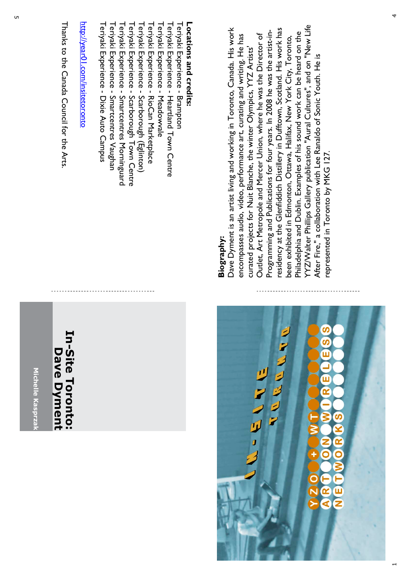Michelle Kasprza **Michelle Kasprzak**

### **In-Site Toronto: In-Site Toronto: Dave Dyment Dave Dyment**

Thanks to the Canada Council for the Arts. Thanks to the Canada Council for the Arts

# <u>http://year01.com/insitetoronto</u> http://year01.com/insitetoronto

Teriyaki Experience - Brampton Teriyaki Experience Teriyaki Experience - Heartland Town Centre Heartland Town Centre Teriyaki Experience Teriyaki Experience - Meadowvale Meadowvale Teriyaki Experience Teriyaki Experience - RioCan Marketplace RioCan Marketplace Teriyaki Experience Teriyaki Experience - Scarborough (Eglinton) Scarborough (Eglinton) Teriyaki Experience Teriyaki Experience - Scarborough Town Centre Scarborough Town Centre Teriyaki Experience Teriyaki Experience - Smartcentres Morninguard Smartcentres Morninguard Teriyaki Experience Teriyaki Experience - Smartcentres Vaughan Smartcentres Vaughan Teriyaki Experience Teriyaki Experience - Dixie Auto Campus Dixie Auto Campus

**Locations and credits** Locations and credits:

#### **Biography: Biography:**

YYZ/Walter Phillips Gallery publication "Aural Cultures", and on "New Life YYZ/Walter Phillips Gallery publication "Aural Cultures", and on "New Life Dave Dyment is an artist living and working in Toronto, Canada. His work residency at the Glenfiddich Distillery in Dufftown, Scotland. His work has Dave Dyment is an artist living and working in Toronto, Canada. His work residency at the Glenfiddich Distillery in Dufftown, Scotland. His work has Philadelphia and Dublin. Examples of his sound work can be heard on the Philadelphia and Dublin. Examples of his sound work can be heard on the ءِ.<br>--Outlet, Art Metropole and Mercer Union, where he was the Director of encompasses audio, video, performance art, curating and writing. He has Outlet, Art Metropole and Mercer Union, where he was the Director of encompasses audio, video, performance art, curating and writing. He has been exhibited in Edmonton, Ottawa, Halifax, New York City, Toronto, been exhibited in Edmonton, Ottawa, Halifax, New York City, Toronto, Programming and Publications for four years. In 2008 he was the artist curated projects for Nuit Blanche, the winter Olympics, YYZ Artists' curated projects for Nuit Blanche, the winter Olympics, YYZ Artists' After Fire," a collaboration with Lee Ranaldo of Sonic Youth. He is After Fire," a collaboration with Lee Ranaldo of Sonic Youth. He is epresented in Toronto by MKG 127. represented in Toronto by MKG 127.